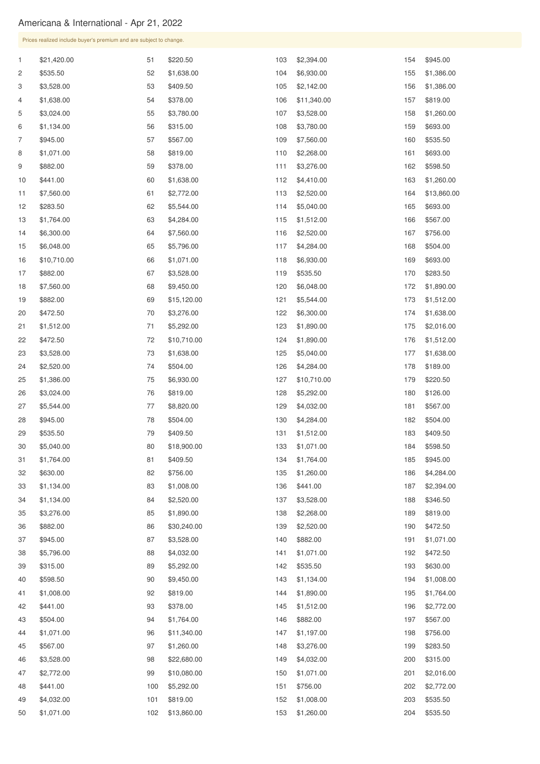|                | Prices realized include buyer's premium and are subject to change. |     |             |     |             |     |                |  |  |
|----------------|--------------------------------------------------------------------|-----|-------------|-----|-------------|-----|----------------|--|--|
| $\mathbf{1}$   | \$21,420.00                                                        | 51  | \$220.50    | 103 | \$2,394.00  | 154 | \$945.00       |  |  |
| $\overline{c}$ | \$535.50                                                           | 52  | \$1,638.00  | 104 | \$6,930.00  | 155 | \$1,386.00     |  |  |
| 3              | \$3,528.00                                                         | 53  | \$409.50    | 105 | \$2,142.00  | 156 | \$1,386.00     |  |  |
| 4              | \$1,638.00                                                         | 54  | \$378.00    | 106 | \$11,340.00 | 157 | \$819.00       |  |  |
| 5              | \$3,024.00                                                         | 55  | \$3,780.00  | 107 | \$3,528.00  | 158 | \$1,260.00     |  |  |
| 6              | \$1,134.00                                                         | 56  | \$315.00    | 108 | \$3,780.00  | 159 | \$693.00       |  |  |
| 7              | \$945.00                                                           | 57  | \$567.00    | 109 | \$7,560.00  | 160 | \$535.50       |  |  |
| 8              | \$1,071.00                                                         | 58  | \$819.00    | 110 | \$2,268.00  | 161 | \$693.00       |  |  |
| 9              | \$882.00                                                           | 59  | \$378.00    | 111 | \$3,276.00  | 162 | \$598.50       |  |  |
| 10             | \$441.00                                                           | 60  | \$1,638.00  | 112 | \$4,410.00  | 163 | \$1,260.00     |  |  |
| 11             | \$7,560.00                                                         | 61  | \$2,772.00  | 113 | \$2,520.00  | 164 | \$13,860.00    |  |  |
| 12             | \$283.50                                                           | 62  | \$5,544.00  | 114 | \$5,040.00  | 165 | \$693.00       |  |  |
| 13             | \$1,764.00                                                         | 63  | \$4,284.00  | 115 | \$1,512.00  | 166 | \$567.00       |  |  |
| 14             | \$6,300.00                                                         | 64  | \$7,560.00  | 116 | \$2,520.00  | 167 | \$756.00       |  |  |
| 15             | \$6,048.00                                                         | 65  | \$5,796.00  | 117 | \$4,284.00  | 168 | \$504.00       |  |  |
| 16             | \$10,710.00                                                        | 66  | \$1,071.00  | 118 | \$6,930.00  | 169 | \$693.00       |  |  |
| 17             | \$882.00                                                           | 67  | \$3,528.00  | 119 | \$535.50    | 170 | \$283.50       |  |  |
| 18             | \$7,560.00                                                         | 68  | \$9,450.00  | 120 | \$6,048.00  | 172 | \$1,890.00     |  |  |
| 19             | \$882.00                                                           | 69  | \$15,120.00 | 121 | \$5,544.00  | 173 | \$1,512.00     |  |  |
| 20             | \$472.50                                                           | 70  | \$3,276.00  | 122 | \$6,300.00  | 174 | \$1,638.00     |  |  |
| 21             | \$1,512.00                                                         | 71  | \$5,292.00  | 123 | \$1,890.00  |     | 175 \$2,016.00 |  |  |
| 22             | \$472.50                                                           | 72  | \$10,710.00 | 124 | \$1,890.00  | 176 | \$1,512.00     |  |  |
| 23             | \$3,528.00                                                         | 73  | \$1,638.00  | 125 | \$5,040.00  | 177 | \$1,638.00     |  |  |
| 24             | \$2,520.00                                                         | 74  | \$504.00    | 126 | \$4,284.00  | 178 | \$189.00       |  |  |
| 25             | \$1,386.00                                                         | 75  | \$6,930.00  | 127 | \$10,710.00 | 179 | \$220.50       |  |  |
| 26             | \$3,024.00                                                         | 76  | \$819.00    | 128 | \$5,292.00  | 180 | \$126.00       |  |  |
| 27             | \$5,544.00                                                         | 77  | \$8,820.00  | 129 | \$4,032.00  | 181 | \$567.00       |  |  |
| 28             | \$945.00                                                           | 78  | \$504.00    | 130 | \$4,284.00  | 182 | \$504.00       |  |  |
| 29             | \$535.50                                                           | 79  | \$409.50    | 131 | \$1,512.00  | 183 | \$409.50       |  |  |
| 30             | \$5,040.00                                                         | 80  | \$18,900.00 | 133 | \$1,071.00  | 184 | \$598.50       |  |  |
| 31             | \$1,764.00                                                         | 81  | \$409.50    | 134 | \$1,764.00  | 185 | \$945.00       |  |  |
| 32             | \$630.00                                                           | 82  | \$756.00    | 135 | \$1,260.00  | 186 | \$4,284.00     |  |  |
| 33             | \$1,134.00                                                         | 83  | \$1,008.00  | 136 | \$441.00    | 187 | \$2,394.00     |  |  |
| 34             | \$1,134.00                                                         | 84  | \$2,520.00  | 137 | \$3,528.00  | 188 | \$346.50       |  |  |
| 35             | \$3,276.00                                                         | 85  | \$1,890.00  | 138 | \$2,268.00  | 189 | \$819.00       |  |  |
| 36             | \$882.00                                                           | 86  | \$30,240.00 | 139 | \$2,520.00  | 190 | \$472.50       |  |  |
| 37             | \$945.00                                                           | 87  | \$3,528.00  | 140 | \$882.00    | 191 | \$1,071.00     |  |  |
| 38             | \$5,796.00                                                         | 88  | \$4,032.00  | 141 | \$1,071.00  | 192 | \$472.50       |  |  |
| 39             | \$315.00                                                           | 89  | \$5,292.00  | 142 | \$535.50    | 193 | \$630.00       |  |  |
| 40             | \$598.50                                                           | 90  | \$9,450.00  | 143 | \$1,134.00  | 194 | \$1,008.00     |  |  |
| 41             | \$1,008.00                                                         | 92  | \$819.00    | 144 | \$1,890.00  | 195 | \$1,764.00     |  |  |
| 42             | \$441.00                                                           | 93  | \$378.00    | 145 | \$1,512.00  | 196 | \$2,772.00     |  |  |
| 43             | \$504.00                                                           | 94  | \$1,764.00  | 146 | \$882.00    | 197 | \$567.00       |  |  |
| 44             | \$1,071.00                                                         | 96  | \$11,340.00 | 147 | \$1,197.00  | 198 | \$756.00       |  |  |
| 45             | \$567.00                                                           | 97  | \$1,260.00  | 148 | \$3,276.00  | 199 | \$283.50       |  |  |
| 46             | \$3,528.00                                                         | 98  | \$22,680.00 | 149 | \$4,032.00  | 200 | \$315.00       |  |  |
| 47             | \$2,772.00                                                         | 99  | \$10,080.00 | 150 | \$1,071.00  | 201 | \$2,016.00     |  |  |
| 48             | \$441.00                                                           | 100 | \$5,292.00  | 151 | \$756.00    | 202 | \$2,772.00     |  |  |
| 49             | \$4,032.00                                                         | 101 | \$819.00    | 152 | \$1,008.00  | 203 | \$535.50       |  |  |
| 50             | \$1,071.00                                                         | 102 | \$13,860.00 | 153 | \$1,260.00  | 204 | \$535.50       |  |  |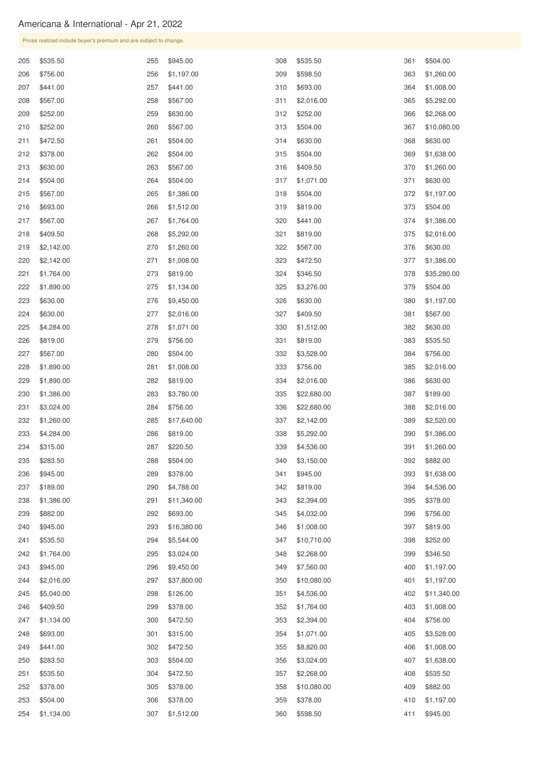|            | Prices realized include buyer's premium and are subject to change. |            |                          |            |                           |            |                      |  |  |
|------------|--------------------------------------------------------------------|------------|--------------------------|------------|---------------------------|------------|----------------------|--|--|
| 205        | \$535.50                                                           | 255        | \$945.00                 | 308        | \$535.50                  | 361        | \$504.00             |  |  |
| 206        | \$756.00                                                           | 256        | \$1,197.00               | 309        | \$598.50                  | 363        | \$1,260.00           |  |  |
| 207        | \$441.00                                                           | 257        | \$441.00                 | 310        | \$693.00                  | 364        | \$1,008.00           |  |  |
| 208        | \$567.00                                                           | 258        | \$567.00                 | 311        | \$2,016.00                | 365        | \$5,292.00           |  |  |
| 209        | \$252.00                                                           | 259        | \$630.00                 | 312        | \$252.00                  | 366        | \$2,268.00           |  |  |
| 210        | \$252.00                                                           | 260        | \$567.00                 | 313        | \$504.00                  | 367        | \$10,080.00          |  |  |
| 211        | \$472.50                                                           | 261        | \$504.00                 | 314        | \$630.00                  | 368        | \$630.00             |  |  |
| 212        | \$378.00                                                           | 262        | \$504.00                 | 315        | \$504.00                  | 369        | \$1,638.00           |  |  |
| 213        | \$630.00                                                           | 263        | \$567.00                 | 316        | \$409.50                  | 370        | \$1,260.00           |  |  |
| 214        | \$504.00                                                           | 264        | \$504.00                 | 317        | \$1,071.00                | 371        | \$630.00             |  |  |
| 215        | \$567.00                                                           | 265        | \$1,386.00               | 318        | \$504.00                  | 372        | \$1,197.00           |  |  |
| 216        | \$693.00                                                           | 266        | \$1,512.00               | 319        | \$819.00                  | 373        | \$504.00             |  |  |
| 217        | \$567.00                                                           | 267        | \$1,764.00               | 320        | \$441.00                  | 374        | \$1,386.00           |  |  |
| 218        | \$409.50                                                           | 268        | \$5,292.00               | 321        | \$819.00                  | 375        | \$2,016.00           |  |  |
| 219        | \$2,142.00                                                         | 270        | \$1,260.00               | 322        | \$567.00                  | 376        | \$630.00             |  |  |
| 220        | \$2,142.00                                                         | 271        | \$1,008.00               | 323        | \$472.50                  | 377        | \$1,386.00           |  |  |
| 221        | \$1,764.00                                                         | 273        | \$819.00                 | 324        | \$346.50                  | 378        | \$35,280.00          |  |  |
| 222        | \$1,890.00                                                         | 275        | \$1,134.00               | 325        | \$3,276.00                | 379        | \$504.00             |  |  |
| 223        | \$630.00                                                           | 276        | \$9,450.00               | 326        | \$630.00                  | 380        | \$1,197.00           |  |  |
| 224        | \$630.00                                                           | 277        | \$2,016.00               | 327        | \$409.50                  | 381        | \$567.00             |  |  |
| 225        | \$4,284.00                                                         | 278        | \$1,071.00               | 330        | \$1,512.00                | 382        | \$630.00             |  |  |
| 226        | \$819.00                                                           | 279        | \$756.00                 | 331        | \$819.00                  | 383        | \$535.50             |  |  |
| 227        | \$567.00                                                           | 280        | \$504.00                 | 332        | \$3,528.00                | 384        | \$756.00             |  |  |
| 228        | \$1,890.00                                                         | 281        | \$1,008.00               | 333        | \$756.00                  | 385        | \$2,016.00           |  |  |
| 229        | \$1,890.00                                                         | 282        | \$819.00                 | 334        | \$2,016.00                | 386        | \$630.00             |  |  |
| 230        | \$1,386.00                                                         | 283        | \$3,780.00               | 335        | \$22,680.00               | 387        | \$189.00             |  |  |
| 231        | \$3,024.00                                                         | 284        | \$756.00                 | 336        | \$22,680.00               | 388        | \$2,016.00           |  |  |
| 232        | \$1,260.00                                                         | 285        | \$17,640.00              | 337        | \$2,142.00                | 389        | \$2,520.00           |  |  |
| 233        | \$4,284.00                                                         | 286        | \$819.00                 | 338        | \$5,292.00                | 390        | \$1,386.00           |  |  |
| 234        | \$315.00                                                           | 287        | \$220.50                 | 339        | \$4,536.00                | 391        | \$1,260.00           |  |  |
| 235        | \$283.50                                                           | 288        | \$504.00                 | 340        | \$3,150.00                | 392        | \$882.00             |  |  |
| 236        | \$945.00                                                           | 289        | \$378.00                 | 341        | \$945.00                  | 393        | \$1,638.00           |  |  |
| 237        | \$189.00                                                           | 290        | \$4,788.00               | 342        | \$819.00                  | 394        | \$4,536.00           |  |  |
| 238        | \$1,386.00                                                         | 291        | \$11,340.00              | 343        | \$2,394.00                | 395        | \$378.00             |  |  |
| 239        | \$882.00                                                           | 292        | \$693.00                 | 345        | \$4,032.00                | 396        | \$756.00             |  |  |
| 240<br>241 | \$945.00                                                           | 293<br>294 | \$16,380.00              | 346<br>347 | \$1,008.00                | 397<br>398 | \$819.00<br>\$252.00 |  |  |
| 242        | \$535.50<br>\$1,764.00                                             | 295        | \$5,544.00<br>\$3,024.00 | 348        | \$10,710.00<br>\$2,268.00 | 399        | \$346.50             |  |  |
| 243        | \$945.00                                                           | 296        | \$9,450.00               | 349        | \$7,560.00                | 400        | \$1,197.00           |  |  |
| 244        | \$2,016.00                                                         | 297        | \$37,800.00              | 350        | \$10,080.00               | 401        | \$1,197.00           |  |  |
| 245        | \$5,040.00                                                         | 298        | \$126.00                 | 351        | \$4,536.00                | 402        | \$11,340.00          |  |  |
| 246        | \$409.50                                                           | 299        | \$378.00                 | 352        | \$1,764.00                | 403        | \$1,008.00           |  |  |
| 247        | \$1,134.00                                                         | 300        | \$472.50                 | 353        | \$2,394.00                | 404        | \$756.00             |  |  |
| 248        | \$693.00                                                           | 301        | \$315.00                 | 354        | \$1,071.00                | 405        | \$3,528.00           |  |  |
| 249        | \$441.00                                                           | 302        | \$472.50                 | 355        | \$8,820.00                | 406        | \$1,008.00           |  |  |
| 250        | \$283.50                                                           | 303        | \$504.00                 | 356        | \$3,024.00                | 407        | \$1,638.00           |  |  |
| 251        | \$535.50                                                           | 304        | \$472.50                 | 357        | \$2,268.00                | 408        | \$535.50             |  |  |
| 252        | \$378.00                                                           | 305        | \$378.00                 | 358        | \$10,080.00               | 409        | \$882.00             |  |  |
| 253        | \$504.00                                                           | 306        | \$378.00                 | 359        | \$378.00                  | 410        | \$1,197.00           |  |  |
| 254        | \$1,134.00                                                         | 307        | \$1,512.00               | 360        | \$598.50                  | 411        | \$945.00             |  |  |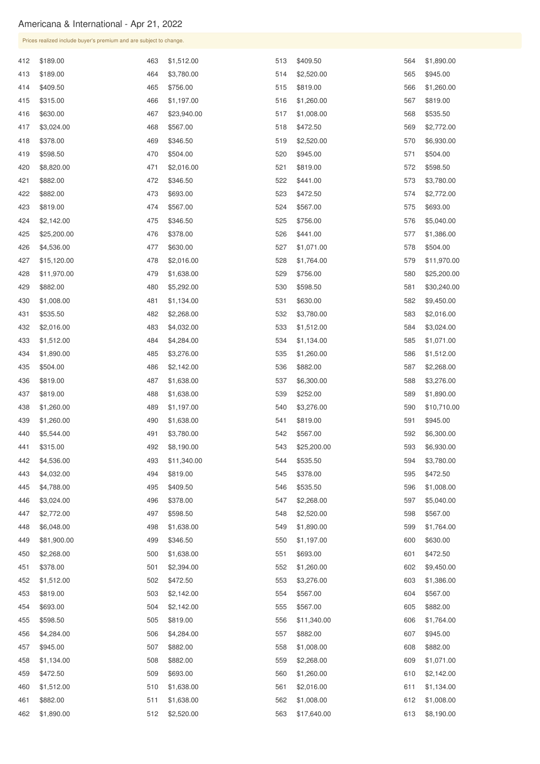|     | Prices realized include buyer's premium and are subject to change. |     |             |     |             |     |             |
|-----|--------------------------------------------------------------------|-----|-------------|-----|-------------|-----|-------------|
| 412 | \$189.00                                                           | 463 | \$1,512.00  | 513 | \$409.50    | 564 | \$1,890.00  |
| 413 | \$189.00                                                           | 464 | \$3,780.00  | 514 | \$2,520.00  | 565 | \$945.00    |
| 414 | \$409.50                                                           | 465 | \$756.00    | 515 | \$819.00    | 566 | \$1,260.00  |
| 415 | \$315.00                                                           | 466 | \$1,197.00  | 516 | \$1,260.00  | 567 | \$819.00    |
| 416 | \$630.00                                                           | 467 | \$23,940.00 | 517 | \$1,008.00  | 568 | \$535.50    |
| 417 | \$3,024.00                                                         | 468 | \$567.00    | 518 | \$472.50    | 569 | \$2,772.00  |
| 418 | \$378.00                                                           | 469 | \$346.50    | 519 | \$2,520.00  | 570 | \$6,930.00  |
| 419 | \$598.50                                                           | 470 | \$504.00    | 520 | \$945.00    | 571 | \$504.00    |
| 420 | \$8,820.00                                                         | 471 | \$2,016.00  | 521 | \$819.00    | 572 | \$598.50    |
| 421 | \$882.00                                                           | 472 | \$346.50    | 522 | \$441.00    | 573 | \$3,780.00  |
| 422 | \$882.00                                                           | 473 | \$693.00    | 523 | \$472.50    | 574 | \$2,772.00  |
| 423 | \$819.00                                                           | 474 | \$567.00    | 524 | \$567.00    | 575 | \$693.00    |
| 424 | \$2,142.00                                                         | 475 | \$346.50    | 525 | \$756.00    | 576 | \$5,040.00  |
| 425 | \$25,200.00                                                        | 476 | \$378.00    | 526 | \$441.00    | 577 | \$1,386.00  |
| 426 | \$4,536.00                                                         | 477 | \$630.00    | 527 | \$1,071.00  | 578 | \$504.00    |
| 427 | \$15,120.00                                                        | 478 | \$2,016.00  | 528 | \$1,764.00  | 579 | \$11,970.00 |
| 428 | \$11,970.00                                                        | 479 | \$1,638.00  | 529 | \$756.00    | 580 | \$25,200.00 |
| 429 | \$882.00                                                           | 480 | \$5,292.00  | 530 | \$598.50    | 581 | \$30,240.00 |
| 430 | \$1,008.00                                                         | 481 | \$1,134.00  | 531 | \$630.00    | 582 | \$9,450.00  |
| 431 | \$535.50                                                           | 482 | \$2,268.00  | 532 | \$3,780.00  | 583 | \$2,016.00  |
|     | 432 \$2,016.00                                                     | 483 | \$4,032.00  | 533 | \$1,512.00  | 584 | \$3,024.00  |
| 433 | \$1,512.00                                                         | 484 | \$4,284.00  | 534 | \$1,134.00  | 585 | \$1,071.00  |
| 434 | \$1,890.00                                                         | 485 | \$3,276.00  | 535 | \$1,260.00  | 586 | \$1,512.00  |
| 435 | \$504.00                                                           | 486 | \$2,142.00  | 536 | \$882.00    | 587 | \$2,268.00  |
| 436 | \$819.00                                                           | 487 | \$1,638.00  | 537 | \$6,300.00  | 588 | \$3,276.00  |
| 437 | \$819.00                                                           | 488 | \$1,638.00  | 539 | \$252.00    | 589 | \$1,890.00  |
| 438 | \$1,260.00                                                         | 489 | \$1,197.00  | 540 | \$3,276.00  | 590 | \$10,710.00 |
| 439 | \$1,260.00                                                         | 490 | \$1,638.00  | 541 | \$819.00    | 591 | \$945.00    |
| 440 | \$5,544.00                                                         | 491 | \$3,780.00  | 542 | \$567.00    | 592 | \$6,300.00  |
| 441 | \$315.00                                                           | 492 | \$8,190.00  | 543 | \$25,200.00 | 593 | \$6,930.00  |
| 442 | \$4,536.00                                                         | 493 | \$11,340.00 | 544 | \$535.50    | 594 | \$3,780.00  |
| 443 | \$4,032.00                                                         | 494 | \$819.00    | 545 | \$378.00    | 595 | \$472.50    |
| 445 | \$4,788.00                                                         | 495 | \$409.50    | 546 | \$535.50    | 596 | \$1,008.00  |
| 446 | \$3,024.00                                                         | 496 | \$378.00    | 547 | \$2,268.00  | 597 | \$5,040.00  |
| 447 | \$2,772.00                                                         | 497 | \$598.50    | 548 | \$2,520.00  | 598 | \$567.00    |
| 448 | \$6,048.00                                                         | 498 | \$1,638.00  | 549 | \$1,890.00  | 599 | \$1,764.00  |
| 449 | \$81,900.00                                                        | 499 | \$346.50    | 550 | \$1,197.00  | 600 | \$630.00    |
| 450 | \$2,268.00                                                         | 500 | \$1,638.00  | 551 | \$693.00    | 601 | \$472.50    |
| 451 | \$378.00                                                           | 501 | \$2,394.00  | 552 | \$1,260.00  | 602 | \$9,450.00  |

| 452 | \$1,512.00 | 502 | \$472.50   | 553 | \$3,276.00  | 603 | \$1,386.00 |
|-----|------------|-----|------------|-----|-------------|-----|------------|
| 453 | \$819.00   | 503 | \$2,142.00 | 554 | \$567.00    | 604 | \$567.00   |
| 454 | \$693.00   | 504 | \$2,142.00 | 555 | \$567.00    | 605 | \$882.00   |
| 455 | \$598.50   | 505 | \$819.00   | 556 | \$11,340.00 | 606 | \$1,764.00 |
| 456 | \$4,284.00 | 506 | \$4,284.00 | 557 | \$882.00    | 607 | \$945.00   |
| 457 | \$945.00   | 507 | \$882.00   | 558 | \$1,008.00  | 608 | \$882.00   |
| 458 | \$1,134.00 | 508 | \$882.00   | 559 | \$2,268.00  | 609 | \$1,071.00 |
| 459 | \$472.50   | 509 | \$693.00   | 560 | \$1,260.00  | 610 | \$2,142.00 |
| 460 | \$1,512.00 | 510 | \$1,638.00 | 561 | \$2,016.00  | 611 | \$1,134.00 |
| 461 | \$882.00   | 511 | \$1,638.00 | 562 | \$1,008.00  | 612 | \$1,008.00 |
| 462 | \$1,890.00 | 512 | \$2,520.00 | 563 | \$17,640.00 | 613 | \$8,190.00 |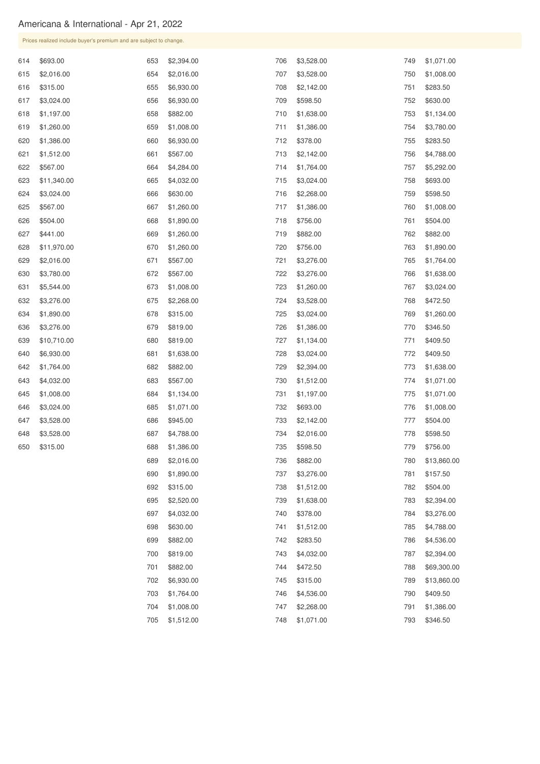\$819.00 \$882.00

|     | Prices realized include buyer's premium and are subject to change. |     |            |     |            |     |             |
|-----|--------------------------------------------------------------------|-----|------------|-----|------------|-----|-------------|
| 614 | \$693.00                                                           | 653 | \$2,394.00 | 706 | \$3,528.00 | 749 | \$1,071.00  |
| 615 | \$2,016.00                                                         | 654 | \$2,016.00 | 707 | \$3,528.00 | 750 | \$1,008.00  |
| 616 | \$315.00                                                           | 655 | \$6,930.00 | 708 | \$2,142.00 | 751 | \$283.50    |
| 617 | \$3,024.00                                                         | 656 | \$6,930.00 | 709 | \$598.50   | 752 | \$630.00    |
| 618 | \$1,197.00                                                         | 658 | \$882.00   | 710 | \$1,638.00 | 753 | \$1,134.00  |
| 619 | \$1,260.00                                                         | 659 | \$1,008.00 | 711 | \$1,386.00 | 754 | \$3,780.00  |
| 620 | \$1,386.00                                                         | 660 | \$6,930.00 | 712 | \$378.00   | 755 | \$283.50    |
| 621 | \$1,512.00                                                         | 661 | \$567.00   | 713 | \$2,142.00 | 756 | \$4,788.00  |
| 622 | \$567.00                                                           | 664 | \$4,284.00 | 714 | \$1,764.00 | 757 | \$5,292.00  |
| 623 | \$11,340.00                                                        | 665 | \$4,032.00 | 715 | \$3,024.00 | 758 | \$693.00    |
| 624 | \$3,024.00                                                         | 666 | \$630.00   | 716 | \$2,268.00 | 759 | \$598.50    |
| 625 | \$567.00                                                           | 667 | \$1,260.00 | 717 | \$1,386.00 | 760 | \$1,008.00  |
| 626 | \$504.00                                                           | 668 | \$1,890.00 | 718 | \$756.00   | 761 | \$504.00    |
| 627 | \$441.00                                                           | 669 | \$1,260.00 | 719 | \$882.00   | 762 | \$882.00    |
| 628 | \$11,970.00                                                        | 670 | \$1,260.00 | 720 | \$756.00   | 763 | \$1,890.00  |
| 629 | \$2,016.00                                                         | 671 | \$567.00   | 721 | \$3,276.00 | 765 | \$1,764.00  |
| 630 | \$3,780.00                                                         | 672 | \$567.00   | 722 | \$3,276.00 | 766 | \$1,638.00  |
| 631 | \$5,544.00                                                         | 673 | \$1,008.00 | 723 | \$1,260.00 | 767 | \$3,024.00  |
| 632 | \$3,276.00                                                         | 675 | \$2,268.00 | 724 | \$3,528.00 | 768 | \$472.50    |
| 634 | \$1,890.00                                                         | 678 | \$315.00   | 725 | \$3,024.00 | 769 | \$1,260.00  |
| 636 | \$3,276.00                                                         | 679 | \$819.00   | 726 | \$1,386.00 | 770 | \$346.50    |
| 639 | \$10,710.00                                                        | 680 | \$819.00   | 727 | \$1,134.00 | 771 | \$409.50    |
| 640 | \$6,930.00                                                         | 681 | \$1,638.00 | 728 | \$3,024.00 | 772 | \$409.50    |
| 642 | \$1,764.00                                                         | 682 | \$882.00   | 729 | \$2,394.00 | 773 | \$1,638.00  |
| 643 | \$4,032.00                                                         | 683 | \$567.00   | 730 | \$1,512.00 | 774 | \$1,071.00  |
| 645 | \$1,008.00                                                         | 684 | \$1,134.00 | 731 | \$1,197.00 | 775 | \$1,071.00  |
| 646 | \$3,024.00                                                         | 685 | \$1,071.00 | 732 | \$693.00   | 776 | \$1,008.00  |
| 647 | \$3,528.00                                                         | 686 | \$945.00   | 733 | \$2,142.00 | 777 | \$504.00    |
| 648 | \$3,528.00                                                         | 687 | \$4,788.00 | 734 | \$2,016.00 | 778 | \$598.50    |
| 650 | \$315.00                                                           | 688 | \$1,386.00 | 735 | \$598.50   | 779 | \$756.00    |
|     |                                                                    | 689 | \$2,016.00 | 736 | \$882.00   | 780 | \$13,860.00 |
|     |                                                                    | 690 | \$1,890.00 | 737 | \$3,276.00 | 781 | \$157.50    |
|     |                                                                    | 692 | \$315.00   | 738 | \$1,512.00 | 782 | \$504.00    |
|     |                                                                    | 695 | \$2,520.00 | 739 | \$1,638.00 | 783 | \$2,394.00  |
|     |                                                                    | 697 | \$4,032.00 | 740 | \$378.00   | 784 | \$3,276.00  |
|     |                                                                    | 698 | \$630.00   | 741 | \$1,512.00 | 785 | \$4,788.00  |
|     |                                                                    | 699 | \$882.00   | 742 | \$283.50   | 786 | \$4,536.00  |

\$4,032.00

\$472.50

| 702 \$6,930.00 | 745 \$315.00   | 789 \$13,860.00 |
|----------------|----------------|-----------------|
| 703 \$1,764.00 | 746 \$4,536.00 | 790 \$409.50    |
| 704 \$1,008.00 | 747 \$2,268.00 | 791 \$1,386.00  |
| 705 \$1,512.00 | 748 \$1,071.00 | 793 \$346.50    |

\$2,394.00

\$69,300.00